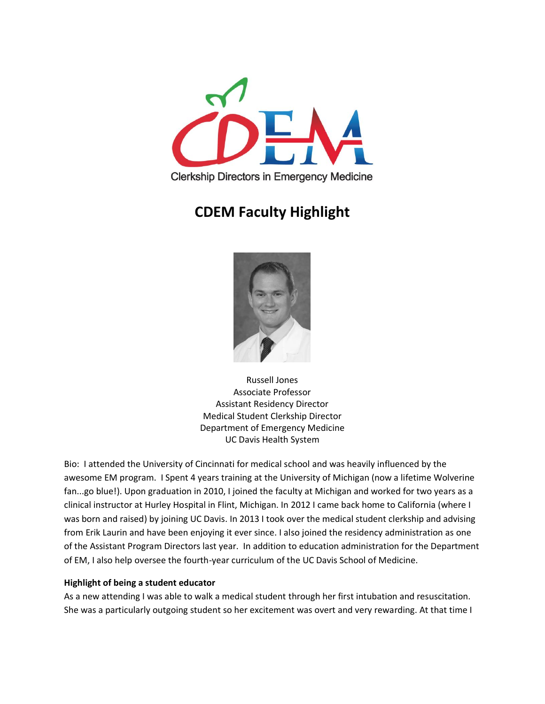

# **CDEM Faculty Highlight**



Russell Jones Associate Professor Assistant Residency Director Medical Student Clerkship Director Department of Emergency Medicine UC Davis Health System

Bio: I attended the University of Cincinnati for medical school and was heavily influenced by the awesome EM program. I Spent 4 years training at the University of Michigan (now a lifetime Wolverine fan...go blue!). Upon graduation in 2010, I joined the faculty at Michigan and worked for two years as a clinical instructor at Hurley Hospital in Flint, Michigan. In 2012 I came back home to California (where I was born and raised) by joining UC Davis. In 2013 I took over the medical student clerkship and advising from Erik Laurin and have been enjoying it ever since. I also joined the residency administration as one of the Assistant Program Directors last year. In addition to education administration for the Department of EM, I also help oversee the fourth-year curriculum of the UC Davis School of Medicine.

## **Highlight of being a student educator**

As a new attending I was able to walk a medical student through her first intubation and resuscitation. She was a particularly outgoing student so her excitement was overt and very rewarding. At that time I